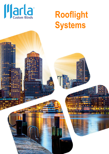

# Rooflight **Systems**

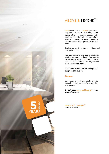## ABOVE & BEYOND™

**Above** your head and **beyond** your reach. High-level windows, rooflights, north lights, atria. Flooding spaces with daylight. Reducing reliance on artificial lighting. Saving electricity. Creating happier and healthier places to live and work.

Daylight comes from the sun. Glare and heat-gain do too.

You want the benefits of daylight but with shade from glare and heat. You want to darken during daylight hours if you need to. And you want to maximise daylight when there's no direct sunshine.

**If only you could control daylight at** the push of a button.

#### You can.

Our range of rooflight blinds provide dynamic shading for out-of-reach glazing at any angle.

**Blinds that go above and beyond in every** sense of the word.

**KuroLokRLTM |HeliosRLTM Brighter Shading™**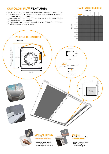## **KUROLOK RL™ FEATURES**

**PROFILE DIMENSIONS** 

Cassette

- $\omega$ Tensioned roller blind, fully enclosed within cassette and side channels
- Operated by electric motor or manual gear and tensioned by powerful  $\overline{a}$ Constant Tension Spring units.
- Blackout or sunscreen fabric is locked into the side channels along its  $\overline{a}$ full length to minimise sagging.
- Cassette and side channels finished in white (RAL9016) as standard. Any RAL colour available to order

#### **MAXIMUM DIMENSIONS**



# Fascia removable within 100mm<br>(minimum) pocket **Side Channel**  $24$ mm 92.5mm 35mm NEW fabric locked in side channels  $100$ mm N.B. This diagram is for<br>illustration purposes only 100mm 92.5mm CONSTANT TENSION<br>SPRING UNIT **ULTIMATE CONTROL STRONG** Motorised operation Crank handle operation \* Recommended method *For smaller sizes* - European-made motors - German-made gearbox - Hardwired or radio control<br>- Hardwired or radio control<br>- BMS integration available - 3.5Nm lifting force - 3:1 reduction gear